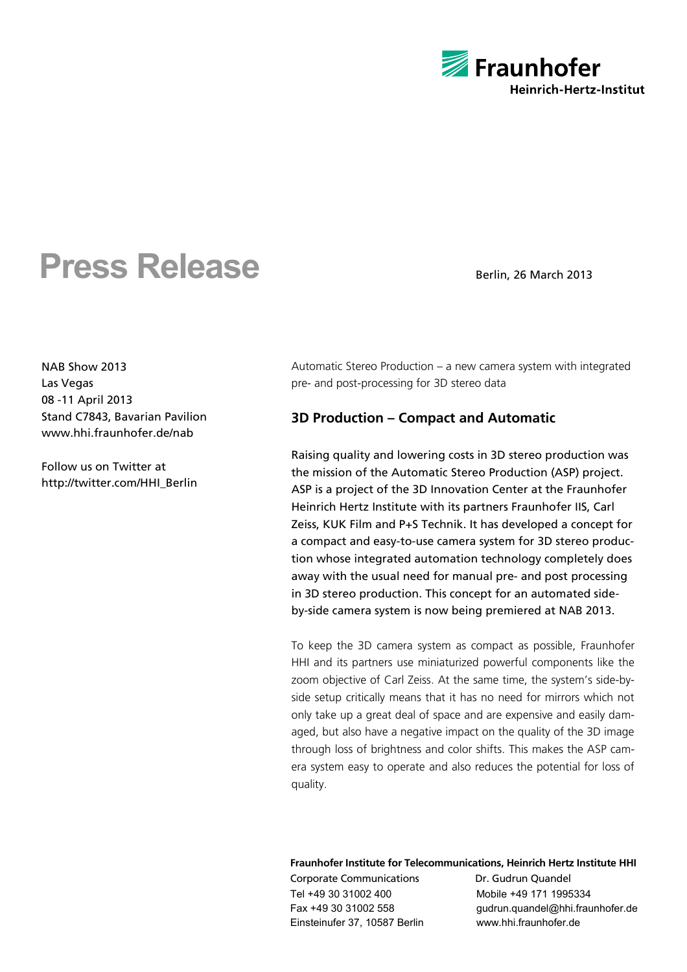

# **Press Release** Berlin, 26 March 2013

NAB Show 2013 Las Vegas 08 -11 April 2013 Stand C7843, Bavarian Pavilion www.hhi.fraunhofer.de/nab

Follow us on Twitter at http://twitter.com/HHI\_Berlin

Automatic Stereo Production – a new camera system with integrated pre- and post-processing for 3D stereo data

## **3D Production – Compact and Automatic**

Raising quality and lowering costs in 3D stereo production was the mission of the Automatic Stereo Production (ASP) project. ASP is a project of the 3D Innovation Center at the Fraunhofer Heinrich Hertz Institute with its partners Fraunhofer IIS, Carl Zeiss, KUK Film and P+S Technik. It has developed a concept for a compact and easy-to-use camera system for 3D stereo production whose integrated automation technology completely does away with the usual need for manual pre- and post processing in 3D stereo production. This concept for an automated sideby-side camera system is now being premiered at NAB 2013.

To keep the 3D camera system as compact as possible, Fraunhofer HHI and its partners use miniaturized powerful components like the zoom objective of Carl Zeiss. At the same time, the system's side-byside setup critically means that it has no need for mirrors which not only take up a great deal of space and are expensive and easily damaged, but also have a negative impact on the quality of the 3D image through loss of brightness and color shifts. This makes the ASP camera system easy to operate and also reduces the potential for loss of quality.

### **Fraunhofer Institute for Telecommunications, Heinrich Hertz Institute HHI**

Corporate Communications Dr. Gudrun Quandel Tel +49 30 31002 400 Mobile +49 171 1995334 Einsteinufer 37, 10587 Berlin www.hhi.fraunhofer.de

Fax +49 30 31002 558 gudrun.quandel@hhi.fraunhofer.de